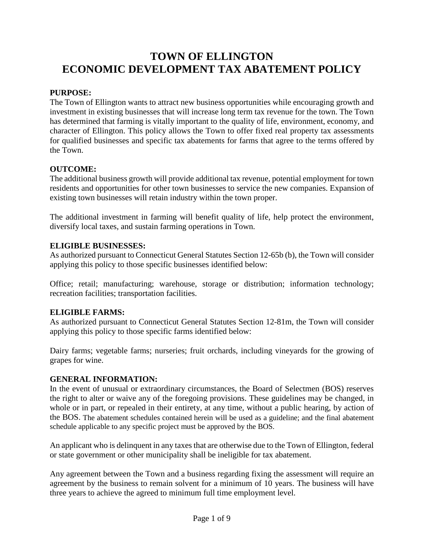# **TOWN OF ELLINGTON ECONOMIC DEVELOPMENT TAX ABATEMENT POLICY**

# **PURPOSE:**

The Town of Ellington wants to attract new business opportunities while encouraging growth and investment in existing businesses that will increase long term tax revenue for the town. The Town has determined that farming is vitally important to the quality of life, environment, economy, and character of Ellington. This policy allows the Town to offer fixed real property tax assessments for qualified businesses and specific tax abatements for farms that agree to the terms offered by the Town.

# **OUTCOME:**

The additional business growth will provide additional tax revenue, potential employment for town residents and opportunities for other town businesses to service the new companies. Expansion of existing town businesses will retain industry within the town proper.

The additional investment in farming will benefit quality of life, help protect the environment, diversify local taxes, and sustain farming operations in Town.

# **ELIGIBLE BUSINESSES:**

As authorized pursuant to Connecticut General Statutes Section 12-65b (b), the Town will consider applying this policy to those specific businesses identified below:

Office; retail; manufacturing; warehouse, storage or distribution; information technology; recreation facilities; transportation facilities.

# **ELIGIBLE FARMS:**

As authorized pursuant to Connecticut General Statutes Section 12-81m, the Town will consider applying this policy to those specific farms identified below:

Dairy farms; vegetable farms; nurseries; fruit orchards, including vineyards for the growing of grapes for wine.

# **GENERAL INFORMATION:**

In the event of unusual or extraordinary circumstances, the Board of Selectmen (BOS) reserves the right to alter or waive any of the foregoing provisions. These guidelines may be changed, in whole or in part, or repealed in their entirety, at any time, without a public hearing, by action of the BOS. The abatement schedules contained herein will be used as a guideline; and the final abatement schedule applicable to any specific project must be approved by the BOS.

An applicant who is delinquent in any taxes that are otherwise due to the Town of Ellington, federal or state government or other municipality shall be ineligible for tax abatement.

Any agreement between the Town and a business regarding fixing the assessment will require an agreement by the business to remain solvent for a minimum of 10 years. The business will have three years to achieve the agreed to minimum full time employment level.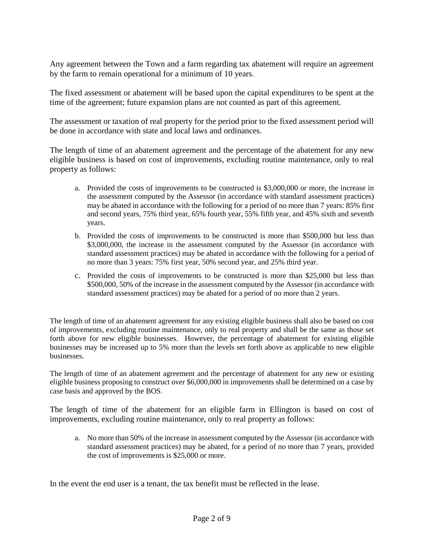Any agreement between the Town and a farm regarding tax abatement will require an agreement by the farm to remain operational for a minimum of 10 years.

The fixed assessment or abatement will be based upon the capital expenditures to be spent at the time of the agreement; future expansion plans are not counted as part of this agreement.

The assessment or taxation of real property for the period prior to the fixed assessment period will be done in accordance with state and local laws and ordinances.

The length of time of an abatement agreement and the percentage of the abatement for any new eligible business is based on cost of improvements, excluding routine maintenance, only to real property as follows:

- a. Provided the costs of improvements to be constructed is \$3,000,000 or more, the increase in the assessment computed by the Assessor (in accordance with standard assessment practices) may be abated in accordance with the following for a period of no more than 7 years: 85% first and second years, 75% third year, 65% fourth year, 55% fifth year, and 45% sixth and seventh years.
- b. Provided the costs of improvements to be constructed is more than \$500,000 but less than \$3,000,000, the increase in the assessment computed by the Assessor (in accordance with standard assessment practices) may be abated in accordance with the following for a period of no more than 3 years: 75% first year, 50% second year, and 25% third year.
- c. Provided the costs of improvements to be constructed is more than \$25,000 but less than \$500,000, 50% of the increase in the assessment computed by the Assessor (in accordance with standard assessment practices) may be abated for a period of no more than 2 years.

The length of time of an abatement agreement for any existing eligible business shall also be based on cost of improvements, excluding routine maintenance, only to real property and shall be the same as those set forth above for new eligible businesses. However, the percentage of abatement for existing eligible businesses may be increased up to 5% more than the levels set forth above as applicable to new eligible businesses.

The length of time of an abatement agreement and the percentage of abatement for any new or existing eligible business proposing to construct over \$6,000,000 in improvements shall be determined on a case by case basis and approved by the BOS.

The length of time of the abatement for an eligible farm in Ellington is based on cost of improvements, excluding routine maintenance, only to real property as follows:

a. No more than 50% of the increase in assessment computed by the Assessor (in accordance with standard assessment practices) may be abated, for a period of no more than 7 years, provided the cost of improvements is \$25,000 or more.

In the event the end user is a tenant, the tax benefit must be reflected in the lease.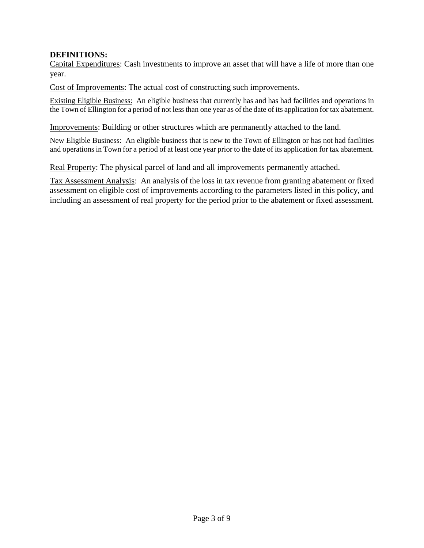### **DEFINITIONS:**

Capital Expenditures: Cash investments to improve an asset that will have a life of more than one year.

Cost of Improvements: The actual cost of constructing such improvements.

Existing Eligible Business:An eligible business that currently has and has had facilities and operations in the Town of Ellington for a period of not less than one year as of the date of its application for tax abatement.

Improvements: Building or other structures which are permanently attached to the land.

New Eligible Business: An eligible business that is new to the Town of Ellington or has not had facilities and operations in Town for a period of at least one year prior to the date of its application for tax abatement.

Real Property: The physical parcel of land and all improvements permanently attached.

Tax Assessment Analysis: An analysis of the loss in tax revenue from granting abatement or fixed assessment on eligible cost of improvements according to the parameters listed in this policy, and including an assessment of real property for the period prior to the abatement or fixed assessment.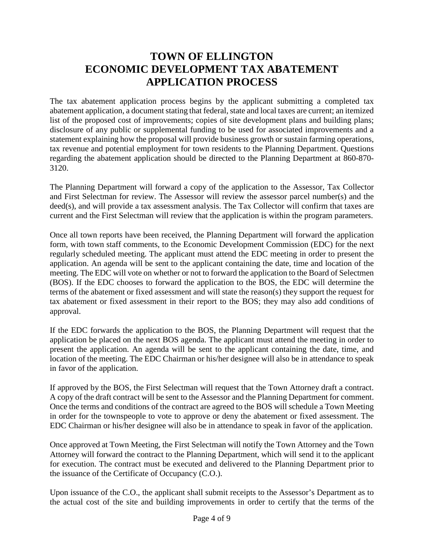# **TOWN OF ELLINGTON ECONOMIC DEVELOPMENT TAX ABATEMENT APPLICATION PROCESS**

The tax abatement application process begins by the applicant submitting a completed tax abatement application, a document stating that federal, state and local taxes are current; an itemized list of the proposed cost of improvements; copies of site development plans and building plans; disclosure of any public or supplemental funding to be used for associated improvements and a statement explaining how the proposal will provide business growth or sustain farming operations, tax revenue and potential employment for town residents to the Planning Department. Questions regarding the abatement application should be directed to the Planning Department at 860-870- 3120.

The Planning Department will forward a copy of the application to the Assessor, Tax Collector and First Selectman for review. The Assessor will review the assessor parcel number(s) and the deed(s), and will provide a tax assessment analysis. The Tax Collector will confirm that taxes are current and the First Selectman will review that the application is within the program parameters.

Once all town reports have been received, the Planning Department will forward the application form, with town staff comments, to the Economic Development Commission (EDC) for the next regularly scheduled meeting. The applicant must attend the EDC meeting in order to present the application. An agenda will be sent to the applicant containing the date, time and location of the meeting. The EDC will vote on whether or not to forward the application to the Board of Selectmen (BOS). If the EDC chooses to forward the application to the BOS, the EDC will determine the terms of the abatement or fixed assessment and will state the reason(s) they support the request for tax abatement or fixed assessment in their report to the BOS; they may also add conditions of approval.

If the EDC forwards the application to the BOS, the Planning Department will request that the application be placed on the next BOS agenda. The applicant must attend the meeting in order to present the application. An agenda will be sent to the applicant containing the date, time, and location of the meeting. The EDC Chairman or his/her designee will also be in attendance to speak in favor of the application.

If approved by the BOS, the First Selectman will request that the Town Attorney draft a contract. A copy of the draft contract will be sent to the Assessor and the Planning Department for comment. Once the terms and conditions of the contract are agreed to the BOS will schedule a Town Meeting in order for the townspeople to vote to approve or deny the abatement or fixed assessment. The EDC Chairman or his/her designee will also be in attendance to speak in favor of the application.

Once approved at Town Meeting, the First Selectman will notify the Town Attorney and the Town Attorney will forward the contract to the Planning Department, which will send it to the applicant for execution. The contract must be executed and delivered to the Planning Department prior to the issuance of the Certificate of Occupancy (C.O.).

Upon issuance of the C.O., the applicant shall submit receipts to the Assessor's Department as to the actual cost of the site and building improvements in order to certify that the terms of the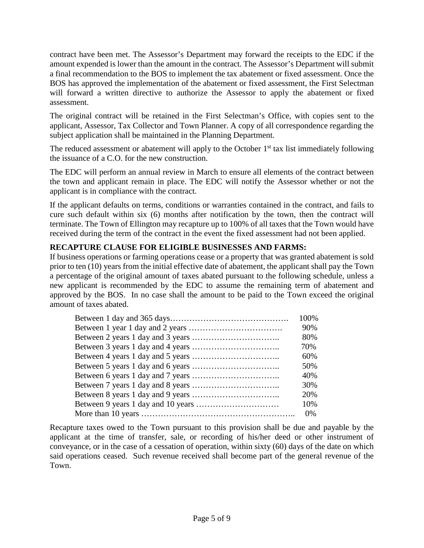contract have been met. The Assessor's Department may forward the receipts to the EDC if the amount expended is lower than the amount in the contract. The Assessor's Department will submit a final recommendation to the BOS to implement the tax abatement or fixed assessment. Once the BOS has approved the implementation of the abatement or fixed assessment, the First Selectman will forward a written directive to authorize the Assessor to apply the abatement or fixed assessment.

The original contract will be retained in the First Selectman's Office, with copies sent to the applicant, Assessor, Tax Collector and Town Planner. A copy of all correspondence regarding the subject application shall be maintained in the Planning Department.

The reduced assessment or abatement will apply to the October  $1<sup>st</sup>$  tax list immediately following the issuance of a C.O. for the new construction.

The EDC will perform an annual review in March to ensure all elements of the contract between the town and applicant remain in place. The EDC will notify the Assessor whether or not the applicant is in compliance with the contract.

If the applicant defaults on terms, conditions or warranties contained in the contract, and fails to cure such default within six (6) months after notification by the town, then the contract will terminate. The Town of Ellington may recapture up to 100% of all taxes that the Town would have received during the term of the contract in the event the fixed assessment had not been applied.

# **RECAPTURE CLAUSE FOR ELIGIBLE BUSINESSES AND FARMS:**

If business operations or farming operations cease or a property that was granted abatement is sold prior to ten (10) years from the initial effective date of abatement, the applicant shall pay the Town a percentage of the original amount of taxes abated pursuant to the following schedule, unless a new applicant is recommended by the EDC to assume the remaining term of abatement and approved by the BOS. In no case shall the amount to be paid to the Town exceed the original amount of taxes abated.

| 100% |
|------|
| 90%  |
| 80%  |
| 70%  |
| 60%  |
| 50%  |
| 40%  |
| 30%  |
| 20%  |
| 10%  |
| 0%   |

Recapture taxes owed to the Town pursuant to this provision shall be due and payable by the applicant at the time of transfer, sale, or recording of his/her deed or other instrument of conveyance, or in the case of a cessation of operation, within sixty (60) days of the date on which said operations ceased. Such revenue received shall become part of the general revenue of the Town.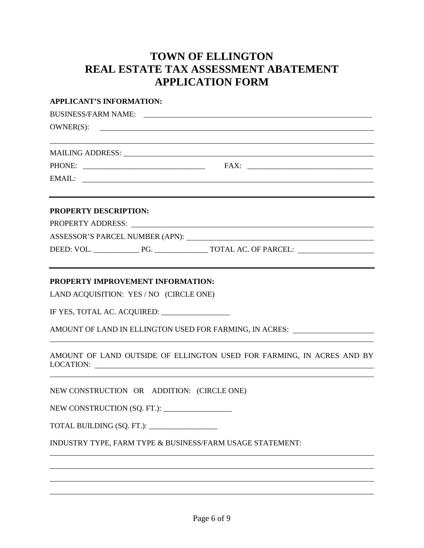# **TOWN OF ELLINGTON REAL ESTATE TAX ASSESSMENT ABATEMENT APPLICATION FORM**

| <b>APPLICANT'S INFORMATION:</b>                                                                                                                                                                                                                                                                                    |  |
|--------------------------------------------------------------------------------------------------------------------------------------------------------------------------------------------------------------------------------------------------------------------------------------------------------------------|--|
|                                                                                                                                                                                                                                                                                                                    |  |
| OWNER(S):                                                                                                                                                                                                                                                                                                          |  |
| ,我们也不会有什么。""我们的人,我们也不会有什么?""我们的人,我们也不会有什么?""我们的人,我们也不会有什么?""我们的人,我们也不会有什么?""我们的人<br>MAILING ADDRESS: University of the contract of the contract of the contract of the contract of the contract of the contract of the contract of the contract of the contract of the contract of the contract of the contract of |  |
|                                                                                                                                                                                                                                                                                                                    |  |
|                                                                                                                                                                                                                                                                                                                    |  |
| <u> 1980 - Johann Barn, amerikan besteman besteman besteman besteman besteman besteman besteman besteman bestema</u><br><b>PROPERTY DESCRIPTION:</b>                                                                                                                                                               |  |
| PROPERTY ADDRESS: LAND AND ANN ANN ANN AN AN AIR AN AIR AN AIR AN AIR AN AIR AIR AIR AIR AIR AIR AIR AIR AIR A                                                                                                                                                                                                     |  |
|                                                                                                                                                                                                                                                                                                                    |  |
|                                                                                                                                                                                                                                                                                                                    |  |
| PROPERTY IMPROVEMENT INFORMATION:<br>LAND ACQUISITION: YES / NO (CIRCLE ONE)                                                                                                                                                                                                                                       |  |
| IF YES, TOTAL AC. ACQUIRED: ________________                                                                                                                                                                                                                                                                       |  |
| AMOUNT OF LAND IN ELLINGTON USED FOR FARMING, IN ACRES: ________________________                                                                                                                                                                                                                                   |  |
| AMOUNT OF LAND OUTSIDE OF ELLINGTON USED FOR FARMING, IN ACRES AND BY                                                                                                                                                                                                                                              |  |
| NEW CONSTRUCTION OR ADDITION: (CIRCLE ONE)                                                                                                                                                                                                                                                                         |  |
| NEW CONSTRUCTION (SQ. FT.): ___________                                                                                                                                                                                                                                                                            |  |
| TOTAL BUILDING (SQ. FT.): ________________                                                                                                                                                                                                                                                                         |  |
| INDUSTRY TYPE, FARM TYPE & BUSINESS/FARM USAGE STATEMENT:                                                                                                                                                                                                                                                          |  |
|                                                                                                                                                                                                                                                                                                                    |  |
|                                                                                                                                                                                                                                                                                                                    |  |
|                                                                                                                                                                                                                                                                                                                    |  |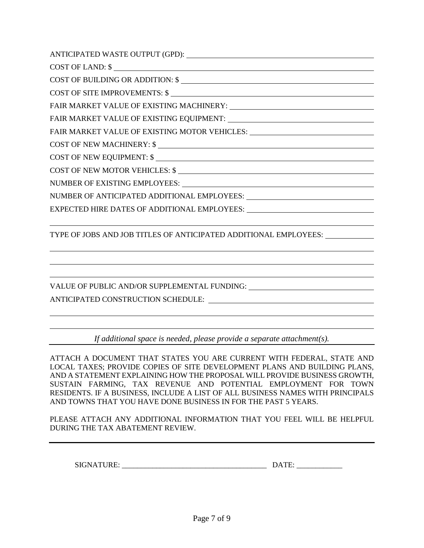ANTICIPATED WASTE OUTPUT (GPD):

COST OF LAND: \$

COST OF BUILDING OR ADDITION: \$

COST OF SITE IMPROVEMENTS: \$

FAIR MARKET VALUE OF EXISTING MACHINERY:

FAIR MARKET VALUE OF EXISTING EQUIPMENT:

FAIR MARKET VALUE OF EXISTING MOTOR VEHICLES:

COST OF NEW MACHINERY: \$

COST OF NEW EQUIPMENT: \$

COST OF NEW MOTOR VEHICLES: \$

NUMBER OF EXISTING EMPLOYEES:

NUMBER OF ANTICIPATED ADDITIONAL EMPLOYEES:

EXPECTED HIRE DATES OF ADDITIONAL EMPLOYEES:

TYPE OF JOBS AND JOB TITLES OF ANTICIPATED ADDITIONAL EMPLOYEES:

VALUE OF PUBLIC AND/OR SUPPLEMENTAL FUNDING:

ANTICIPATED CONSTRUCTION SCHEDULE:

*If additional space is needed, please provide a separate attachment(s).*

ATTACH A DOCUMENT THAT STATES YOU ARE CURRENT WITH FEDERAL, STATE AND LOCAL TAXES; PROVIDE COPIES OF SITE DEVELOPMENT PLANS AND BUILDING PLANS, AND A STATEMENT EXPLAINING HOW THE PROPOSAL WILL PROVIDE BUSINESS GROWTH, SUSTAIN FARMING, TAX REVENUE AND POTENTIAL EMPLOYMENT FOR TOWN RESIDENTS. IF A BUSINESS, INCLUDE A LIST OF ALL BUSINESS NAMES WITH PRINCIPALS AND TOWNS THAT YOU HAVE DONE BUSINESS IN FOR THE PAST 5 YEARS.

PLEASE ATTACH ANY ADDITIONAL INFORMATION THAT YOU FEEL WILL BE HELPFUL DURING THE TAX ABATEMENT REVIEW.

SIGNATURE: \_\_\_\_\_\_\_\_\_\_\_\_\_\_\_\_\_\_\_\_\_\_\_\_\_\_\_\_\_\_\_\_\_\_\_\_\_\_ DATE: \_\_\_\_\_\_\_\_\_\_\_\_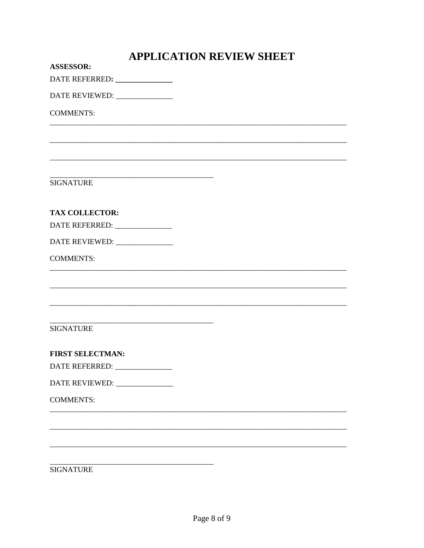| <b>APPLICATION REVIEW SHEET</b> |  |  |
|---------------------------------|--|--|
| <b>ASSESSOR:</b>                |  |  |
| DATE REFERRED: ______________   |  |  |
| DATE REVIEWED:                  |  |  |
| <b>COMMENTS:</b>                |  |  |
|                                 |  |  |
|                                 |  |  |
| <b>SIGNATURE</b>                |  |  |
| <b>TAX COLLECTOR:</b>           |  |  |
| DATE REFERRED: ______________   |  |  |
| DATE REVIEWED: ______________   |  |  |
| <b>COMMENTS:</b>                |  |  |
|                                 |  |  |
|                                 |  |  |
| <b>SIGNATURE</b>                |  |  |
| <b>FIRST SELECTMAN:</b>         |  |  |
|                                 |  |  |
| DATE REVIEWED: _____________    |  |  |
| <b>COMMENTS:</b>                |  |  |
|                                 |  |  |
|                                 |  |  |
|                                 |  |  |
| <b>SIGNATURE</b>                |  |  |